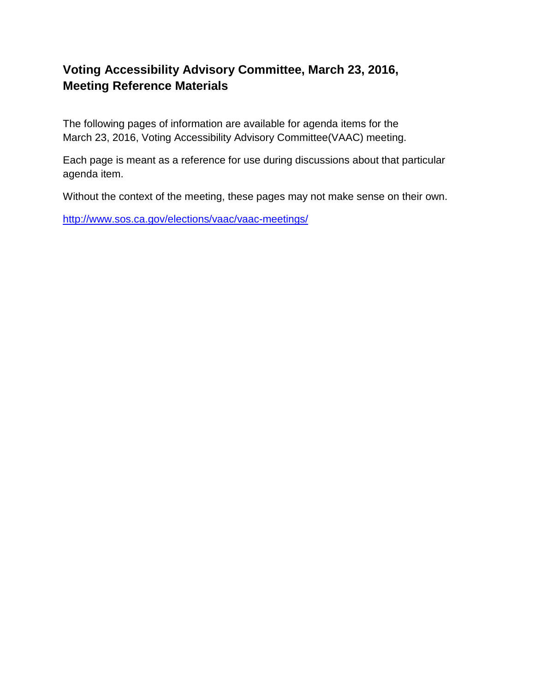## **Voting Accessibility Advisory Committee, March 23, 2016, Meeting Reference Materials**

The following pages of information are available for agenda items for the March 23, 2016, Voting Accessibility Advisory Committee(VAAC) meeting.

Each page is meant as a reference for use during discussions about that particular agenda item.

Without the context of the meeting, these pages may not make sense on their own.

<http://www.sos.ca.gov/elections/vaac/vaac-meetings/>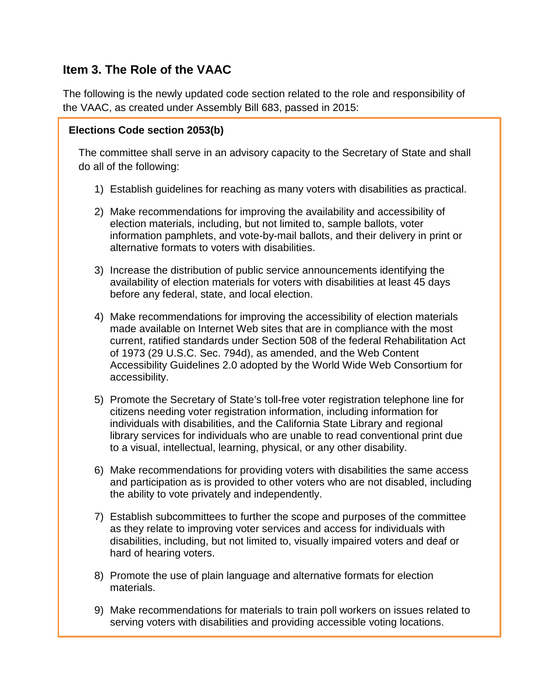## **Item 3. The Role of the VAAC**

The following is the newly updated code section related to the role and responsibility of the VAAC, as created under Assembly Bill 683, passed in 2015:

### **Elections Code section 2053(b)**

The committee shall serve in an advisory capacity to the Secretary of State and shall do all of the following:

- 1) Establish guidelines for reaching as many voters with disabilities as practical.
- 2) Make recommendations for improving the availability and accessibility of election materials, including, but not limited to, sample ballots, voter information pamphlets, and vote-by-mail ballots, and their delivery in print or alternative formats to voters with disabilities.
- 3) Increase the distribution of public service announcements identifying the availability of election materials for voters with disabilities at least 45 days before any federal, state, and local election.
- 4) Make recommendations for improving the accessibility of election materials made available on Internet Web sites that are in compliance with the most current, ratified standards under Section 508 of the federal Rehabilitation Act of 1973 (29 U.S.C. Sec. 794d), as amended, and the Web Content Accessibility Guidelines 2.0 adopted by the World Wide Web Consortium for accessibility.
- 5) Promote the Secretary of State's toll-free voter registration telephone line for citizens needing voter registration information, including information for individuals with disabilities, and the California State Library and regional library services for individuals who are unable to read conventional print due to a visual, intellectual, learning, physical, or any other disability.
- 6) Make recommendations for providing voters with disabilities the same access and participation as is provided to other voters who are not disabled, including the ability to vote privately and independently.
- 7) Establish subcommittees to further the scope and purposes of the committee as they relate to improving voter services and access for individuals with disabilities, including, but not limited to, visually impaired voters and deaf or hard of hearing voters.
- 8) Promote the use of plain language and alternative formats for election materials.
- 9) Make recommendations for materials to train poll workers on issues related to serving voters with disabilities and providing accessible voting locations.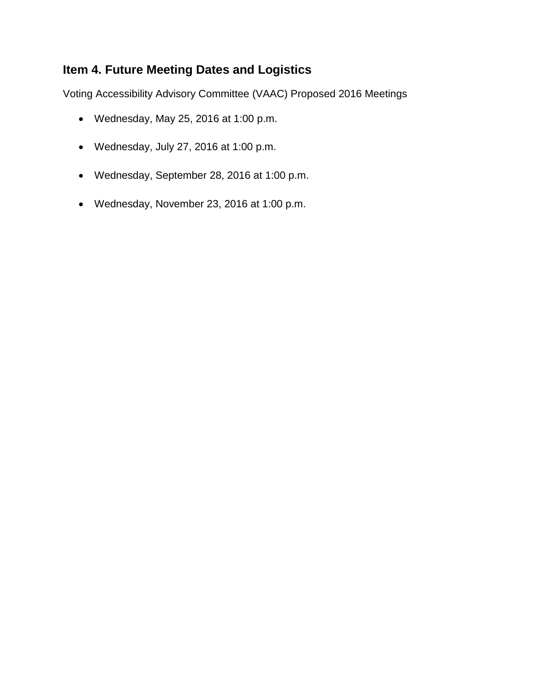## **Item 4. Future Meeting Dates and Logistics**

Voting Accessibility Advisory Committee (VAAC) Proposed 2016 Meetings

- Wednesday, May 25, 2016 at 1:00 p.m.
- Wednesday, July 27, 2016 at 1:00 p.m.
- Wednesday, September 28, 2016 at 1:00 p.m.
- Wednesday, November 23, 2016 at 1:00 p.m.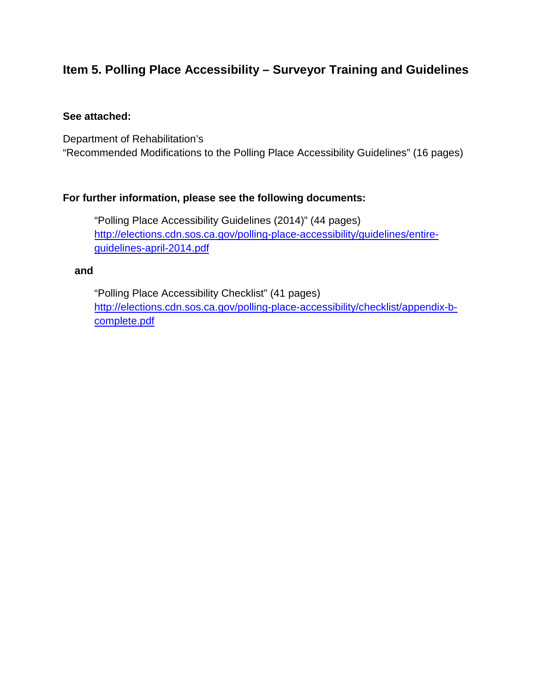# **Item 5. Polling Place Accessibility – Surveyor Training and Guidelines**

#### **See attached:**

Department of Rehabilitation's "Recommended Modifications to the Polling Place Accessibility Guidelines" (16 pages)

### **For further information, please see the following documents:**

"Polling Place Accessibility Guidelines (2014)" (44 pages) [http://elections.cdn.sos.ca.gov/polling-place-accessibility/guidelines/entire](http://elections.cdn.sos.ca.gov/polling-place-accessibility/guidelines/entire-guidelines-april-2014.pdf)[guidelines-april-2014.pdf](http://elections.cdn.sos.ca.gov/polling-place-accessibility/guidelines/entire-guidelines-april-2014.pdf)

#### **and**

"Polling Place Accessibility Checklist" (41 pages) [http://elections.cdn.sos.ca.gov/polling-place-accessibility/checklist/appendix-b](http://elections.cdn.sos.ca.gov/polling-place-accessibility/checklist/appendix-b-complete.pdf)[complete.pdf](http://elections.cdn.sos.ca.gov/polling-place-accessibility/checklist/appendix-b-complete.pdf)